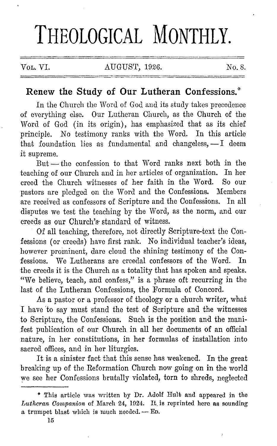# THEOLOGICAL MONTHLY.

Vol. VI. AUGUST, 1926. No. 8.

## **Renew the Study of Our Lutheran Confessions.\***

In the Church the Word of God and its study takes precedence of everything else. Our Lutheran Church, as the Church of the Word of God (in its origin), has emphasized that as its chief principle. No testimony ranks with the Word. In this article that foundation lies as fundamental and changeless,  $-1$  deem it supreme.

But - the confession to that Word ranks next both in the teaching of our Church and in her articles of organization. In her creed the Church witnesses of her faith in the Word. So our pastors are pledged on the Word and the Confessions. Members arc received as confessors of Scripture and the Confessions. In all disputes we test the teaching by the Word, as the norm, and our creeds as our Church's· standard of witness.

Of all teaching, therefore, not directly Scripture-text the Confessions (or creeds) have first rank. No individual teacher's ideas, however prominent, dare cloud the shining testimony of the Confessions. We Lutherans are creedal confessors of the Word. In the creeds it is the Church as a totality that has spoken and speaks. "We believe, teach, and confess," is a phrase oft recurring in the last of the Lutheran Confessions, the Formula of Concord.

As a pastor or a professor of theology or a church writer, what I have 'to say must stand the test of Scripture and the witnesses to Scripture, the Confessions. Such is the position and the manifest publication of our Church in all her documents of an official nature, in her constitutions, in her formulas of installation into sacred offices, and in her liturgies.

It is a sinister fact that this sense has weakened. In the great breaking up of the Reformation Church now going on in the world we see her Confessions brutally violated, torn to shreds, neglected

<sup>\*</sup> This article was written by Dr. Adolf Hull; and appeared in the *Lutheran Companion* of March 24, 1924. It is reprinted here as sounding a trumpet blast which is much needed. -- ED.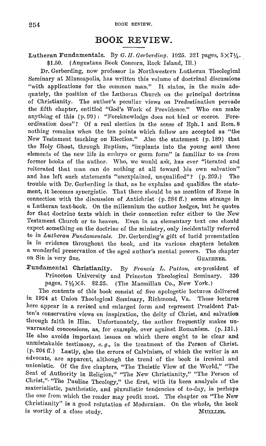## **BOOK REVIEW.**

#### Lutheran Fundamentals. By *G. II. Gerberding.* 1925. 321 pages,  $5 \times 7\frac{1}{4}$ . \$1.50. ( Augustana Book Concern, Rock Island, Ill.)

Dr. Gerberding, now professor in Northwestern Lutheran Theological Seminary at Minneapolis, has written this volume of doctrinal discussions "with applications for the common man." It states, in the main adequately, the position of the Lutheran Church on the principal doctrines of Christianity. The author's peculiar views on Predestination pervade the fifth chapter, entitled "God's Work of Providence." Who can make anything of this (p. 99): "Foreknowledge does not bind or coerce. Foreordination docs"? Of a real election in the sense of Eph. 1 and Rom. 8 nothing remains when the ten points which follow are accepted as "the New Testament teaching on Election." Also the statement (p. 180) that the Holy Ghost, through Baptism, "implants into the young soul these clements of the new life in embryo or germ form" is familiar to us from former books of the author. Who, we would ask, has ever "iterated and reiterated that man can do nothing at all toward his own salvation" and has left such statements "unexplained, unqualified"? ( p. 200.) The trouble with Dr. Gerberding is that, as he explains and qualifies the statement, it becomes synergistic. That there should be no mention of Rome in connection with the discussion of Antichrist (p. 284 ff.) seems strange in a Lutheran text-book. On the millennium the author hedges, but he quotes for that doctrine texts which in their connection refer either to the New Testament Church or to heaven. Even in an elementary text one should expect something on the doctrine of the ministry, only incidentally referred to in *Lutheran Fundamentals.* Dr. Gerberding's gift of lucid presentation is in evidence throughout the book, and its various chapters betoken a wonderful preservation of the aged author's mental powers. 'fhe chapter on Sin is very fine. GRAEBNER.

Fundamental Christianity. By *Francis L. Patton*, ex-president of Princeton University and Princeton Theological Seminary. 330 pages,  $7\frac{1}{2}\times5$ . \$2.25. (The Macmillan Co., New York.)

The contents of this book consist of five apologetic lectures delivered in 1024 at Union Theological Seminary, Richmond, Va. These lectures here appear in a revised and enlarged form and represent President Patton's conservative views on inspiration, the deity of Christ, and salvation through faith in Him. Unfortunately, the author frequently makes unwarranted concessions, as, for example, over against Romanism. (p. 131.} He also avoids important issues on which there ought to be clear and unmistakable testimony, *e.g.,* in the treatment of the Person of Christ.  $(p. 204$  ff.) Lastly, also the errors of Calvinism, of which the writer is an advocate, arc apparent, although the trend of the book is ircnical and unionistic. Of the five chapters, "The Theistic View of the World," "The Seat of Authority in Religion," "The New Christianity," "The Person of Christ,"• "The Pauline Theology," the first, with its keen analysis of the materialistic, pantheistic, and pluralistic tendencies of to-day, is perhaps the one from which the reader may profit most. The chapter on "The New Christianity" is a good refutation of Modernism. On the whole, the book is worthy of a close study. MUELLER.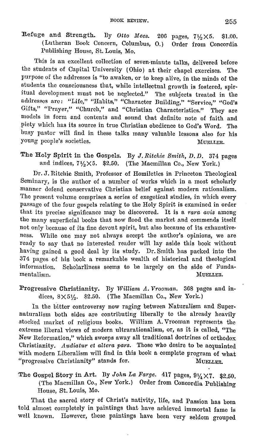Refuge and Strength. By *Otto Mees.*  206 pages, 7½ X6. \$1.00. (Lutheran Book Concern, Columbus, 0.) Order from Concordia Publishing House, St. Louis, Mo.

This is an excellent collection of seven-minute talks, delivered before the students of Capital University (Ohio) at their chapel exercises. The purpose of the addresses is "to awaken, or to keep alive, in the minds of the students the consciousness that, while intellectual growth is fostered, spiritual development must not be neglected." The subjects treated in the addresses are: "Life," "Habits," "Character Building," "Service," "God's Gifts," "Prayer," "Church," and "Christian Characteristics." They are models in form and contents and sound that definite note of faith and piety which has its source in true Christian obedience to God's Word. The busy pastor will find in these talks many valuable lessons also for his young people's societies. MUELLER.

The Holy Spirit in the Gospels. By *J.Ritchie Smith, D.D.* 374 pages and indices,  $7\frac{1}{2}\times5$ . \$2.50. (The Macmillan Co., New York.)

Dr. J. Ritchie Smith, Professor of Homiletics in Princeton Theological Seminary, is the author of a number of works which in a most scholarly manner defend conservative Christian belief against modern rationalism. The present volume comprises a series of exegetical studies, in which every passage of the four gospels relating to the Holy Spirit is examined in order that its precise significance may be discovered. It is a *rara avis* among the many superficial books that now flood the market and commends itself not only because of its fine devout spirit, but also because of its exhaustiveness. While one may not always accept the author's opinions, we are ready to say that no interested reader will lay aside this hook without having gained a good deal by its study. Dr. Smith has packed into the 374 pages of his book a remarkable wealth of historical and theological information. Scholarliness seems to be largely on the side of Fundamentalism. MUELLER.

Progressive Christianity. By *William A. Vrooman.* 368 pages and in dices, 8X5½. \$2.50. (The Macmillan Co., New York.)

In the bitter controversy now raging between Naturalism and Supernaturalism both sides are contributing liberally to the already heavily stocked market of religious books. William A. Vrooman represents the extreme liberal views of modern ultrarationalism, or, as it is called, "The New Reformation," which sweeps away all traditional doctrines of orthodox Christianity. *1ludiatur ct altera pars.* Those who desire to be acquainted with modern Liberalism will find in this book a complete program of what "progressive Christianity" stands for. MUELLER.

The Gospel Story in Art. By *John La Farge.*  $417$  pages,  $9\frac{1}{4} \times 7$ . \$2.50. (The Macmillan Co., New York.) Order from Concordia Publishing House, St. Louis, Mo.

That the sacred story of Christ's nativity, life, and Passion has been told almost completely in paintings that have achieved immortal fame is well known. However, these paintings have been very seldom grouped